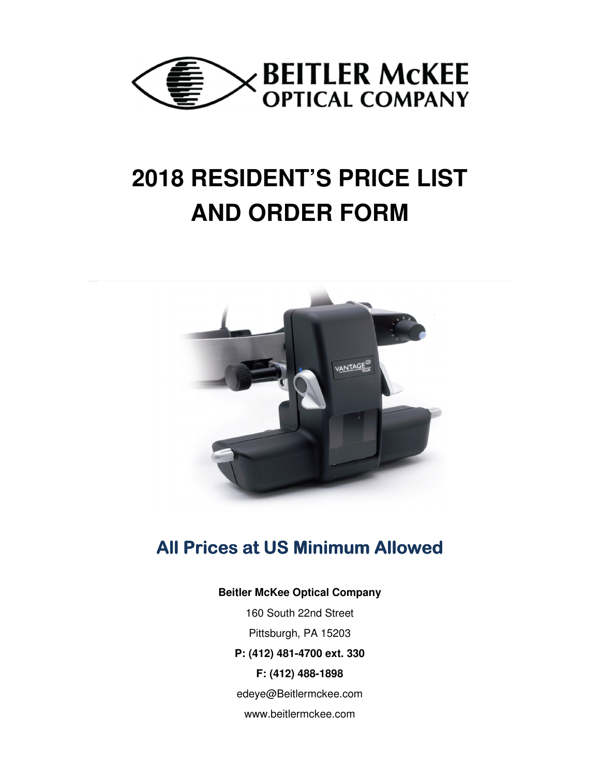

# **2018 RESIDENT'S PRICE LIST AND ORDER FORM**



## **All Prices at US Minimum Allowed**

#### **Beitler McKee Optical Company**

160 South 22nd Street Pittsburgh, PA 15203 **P: (412) 481-4700 ext. 330 F: (412) 488-1898**  edeye@Beitlermckee.com www.beitlermckee.com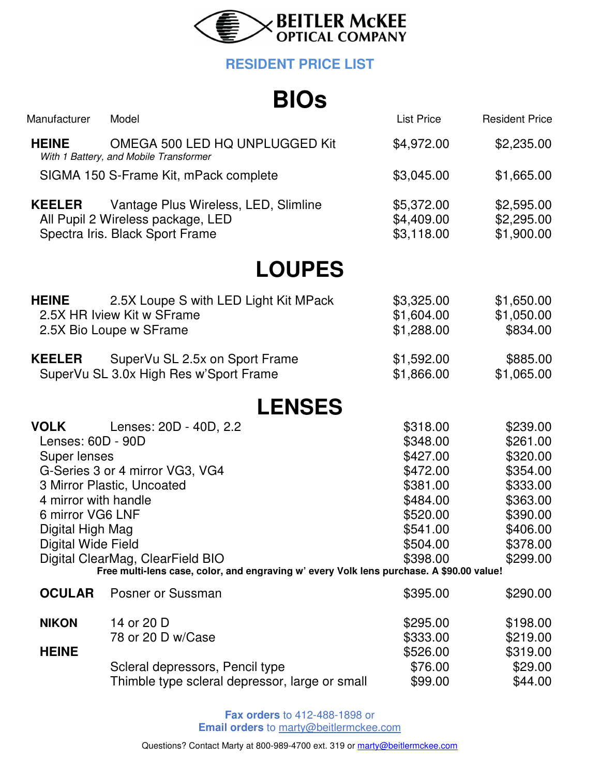

### **RESIDENT PRICE LIST**

## **BIOs**

|                                                                                                                                        | - - -                                                                                                                                                                                                                   |                                                                                                                      |                                                                                                                      |
|----------------------------------------------------------------------------------------------------------------------------------------|-------------------------------------------------------------------------------------------------------------------------------------------------------------------------------------------------------------------------|----------------------------------------------------------------------------------------------------------------------|----------------------------------------------------------------------------------------------------------------------|
| Manufacturer                                                                                                                           | Model                                                                                                                                                                                                                   | <b>List Price</b>                                                                                                    | <b>Resident Price</b>                                                                                                |
| <b>HEINE</b>                                                                                                                           | OMEGA 500 LED HQ UNPLUGGED Kit<br>With 1 Battery, and Mobile Transformer                                                                                                                                                | \$4,972.00                                                                                                           | \$2,235.00                                                                                                           |
|                                                                                                                                        | SIGMA 150 S-Frame Kit, mPack complete                                                                                                                                                                                   | \$3,045.00                                                                                                           | \$1,665.00                                                                                                           |
| <b>KEELER</b>                                                                                                                          | Vantage Plus Wireless, LED, Slimline<br>All Pupil 2 Wireless package, LED<br>Spectra Iris. Black Sport Frame                                                                                                            | \$5,372.00<br>\$4,409.00<br>\$3,118.00                                                                               | \$2,595.00<br>\$2,295.00<br>\$1,900.00                                                                               |
|                                                                                                                                        | <b>LOUPES</b>                                                                                                                                                                                                           |                                                                                                                      |                                                                                                                      |
| <b>HEINE</b>                                                                                                                           | 2.5X Loupe S with LED Light Kit MPack<br>2.5X HR Iview Kit w SFrame<br>2.5X Bio Loupe w SFrame                                                                                                                          | \$3,325.00<br>\$1,604.00<br>\$1,288.00                                                                               | \$1,650.00<br>\$1,050.00<br>\$834.00                                                                                 |
| <b>KEELER</b>                                                                                                                          | SuperVu SL 2.5x on Sport Frame<br>SuperVu SL 3.0x High Res w'Sport Frame                                                                                                                                                | \$1,592.00<br>\$1,866.00                                                                                             | \$885.00<br>\$1,065.00                                                                                               |
|                                                                                                                                        | <b>LENSES</b>                                                                                                                                                                                                           |                                                                                                                      |                                                                                                                      |
| <b>VOLK</b><br>Lenses: 60D - 90D<br>Super lenses<br>4 mirror with handle<br>6 mirror VG6 LNF<br>Digital High Mag<br>Digital Wide Field | Lenses: 20D - 40D, 2.2<br>G-Series 3 or 4 mirror VG3, VG4<br>3 Mirror Plastic, Uncoated<br>Digital ClearMag, ClearField BIO<br>Free multi-lens case, color, and engraving w' every Volk lens purchase. A \$90.00 value! | \$318.00<br>\$348.00<br>\$427.00<br>\$472.00<br>\$381.00<br>\$484.00<br>\$520.00<br>\$541.00<br>\$504.00<br>\$398.00 | \$239.00<br>\$261.00<br>\$320.00<br>\$354.00<br>\$333.00<br>\$363.00<br>\$390.00<br>\$406.00<br>\$378.00<br>\$299.00 |
| <b>OCULAR</b>                                                                                                                          | Posner or Sussman                                                                                                                                                                                                       | \$395.00                                                                                                             | \$290.00                                                                                                             |
| <b>NIKON</b><br><b>HEINE</b>                                                                                                           | 14 or 20 D<br>78 or 20 D w/Case                                                                                                                                                                                         | \$295.00<br>\$333.00                                                                                                 | \$198.00<br>\$219.00                                                                                                 |
|                                                                                                                                        | Scleral depressors, Pencil type<br>Thimble type scleral depressor, large or small                                                                                                                                       | \$526.00<br>\$76.00<br>\$99.00                                                                                       | \$319.00<br>\$29.00<br>\$44.00                                                                                       |

**Fax orders** to 412-488-1898 or **Email orders** to marty@beitlermckee.com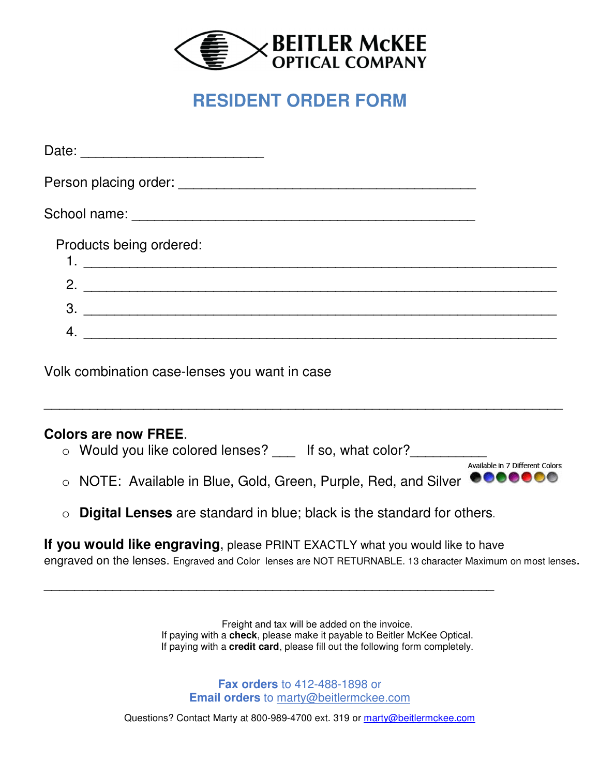

### **RESIDENT ORDER FORM**

| Products being ordered: |  |
|-------------------------|--|
| 2. $\qquad \qquad$      |  |
| $\mathbf{3}$            |  |
| 4.                      |  |

Volk combination case-lenses you want in case

### **Colors are now FREE**.

- o Would you like colored lenses? If so, what color?
- o NOTE: Available in Blue, Gold, Green, Purple, Red, and Silver .......
- o **Digital Lenses** are standard in blue; black is the standard for others.

\_\_\_\_\_\_\_\_\_\_\_\_\_\_\_\_\_\_\_\_\_\_\_\_\_\_\_\_\_\_\_\_\_\_\_\_\_\_\_\_\_\_\_\_\_\_\_\_\_\_\_\_\_\_\_\_\_\_\_

**If you would like engraving**, please PRINT EXACTLY what you would like to have

engraved on the lenses. Engraved and Color lenses are NOT RETURNABLE. 13 character Maximum on most lenses.

\_\_\_\_\_\_\_\_\_\_\_\_\_\_\_\_\_\_\_\_\_\_\_\_\_\_\_\_\_\_\_\_\_\_\_\_\_\_\_\_\_\_\_\_\_\_\_\_\_\_\_\_\_\_\_\_\_\_\_\_\_\_\_\_\_\_\_\_

Available in 7 Different Colors

Freight and tax will be added on the invoice. If paying with a **check**, please make it payable to Beitler McKee Optical. If paying with a **credit card**, please fill out the following form completely.

**Fax orders** to 412-488-1898 or **Email orders** to marty@beitlermckee.com

Questions? Contact Marty at 800-989-4700 ext. 319 or marty@beitlermckee.com